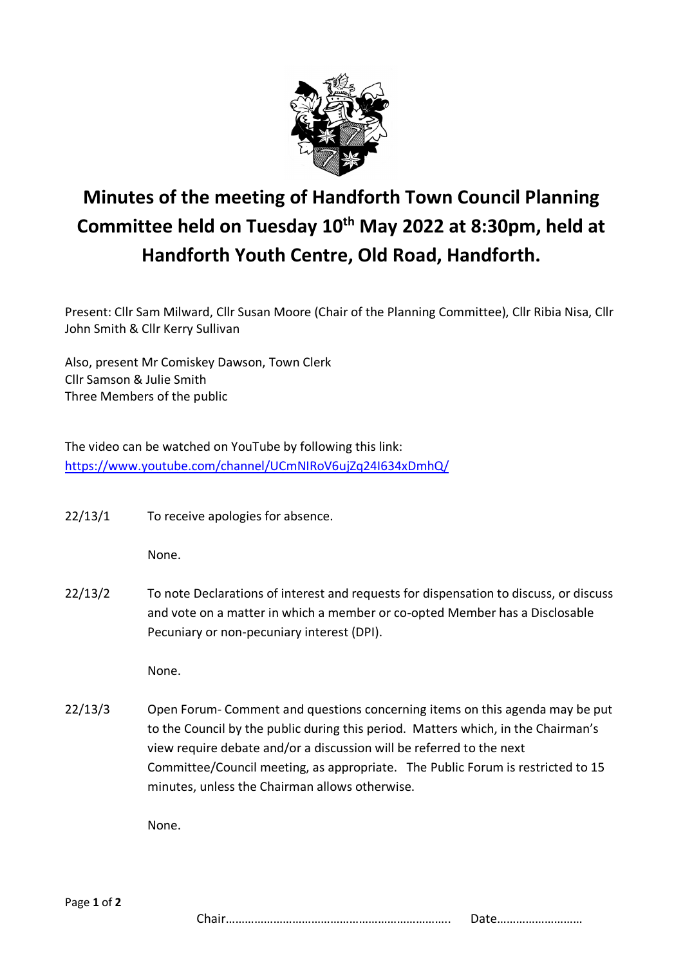

## **Minutes of the meeting of Handforth Town Council Planning** Committee held on Tuesday 10<sup>th</sup> May 2022 at 8:30pm, held at **Handforth Youth Centre, Old Road, Handforth.**

Present: Cllr Sam Milward, Cllr Susan Moore (Chair of the Planning Committee), Cllr Ribia Nisa, Cllr John Smith & Cllr Kerry Sullivan

Also, present Mr Comiskey Dawson, Town Clerk Cllr Samson & Julie Smith Three Members of the public

The video can be watched on YouTube by following this link: <https://www.youtube.com/channel/UCmNIRoV6ujZq24I634xDmhQ/>

22/13/1 To receive apologies for absence.

None.

22/13/2 To note Declarations of interest and requests for dispensation to discuss, or discuss and vote on a matter in which a member or co-opted Member has a Disclosable Pecuniary or non-pecuniary interest (DPI).

None.

22/13/3 Open Forum- Comment and questions concerning items on this agenda may be put to the Council by the public during this period. Matters which, in the Chairman's view require debate and/or a discussion will be referred to the next Committee/Council meeting, as appropriate. The Public Forum is restricted to 15 minutes, unless the Chairman allows otherwise.

None.